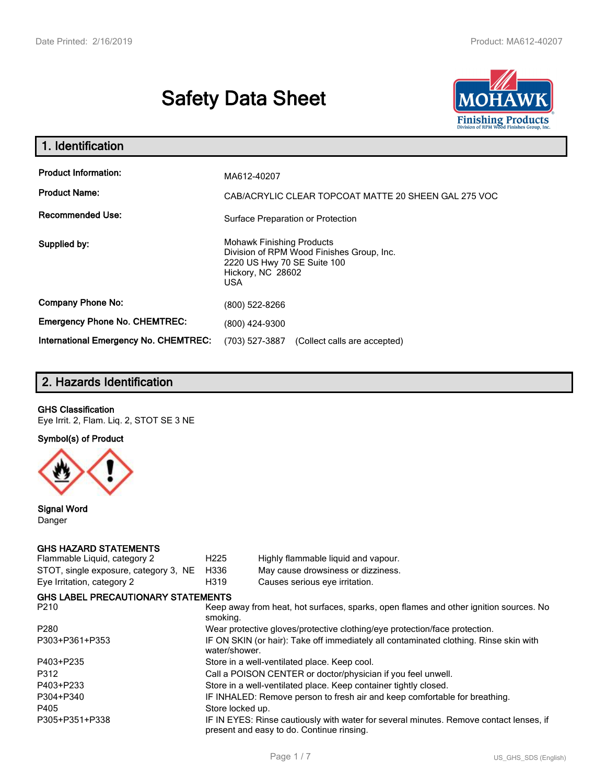# **Safety Data Sheet**



| 1. Identification                                                              |                                                                                                                                          |
|--------------------------------------------------------------------------------|------------------------------------------------------------------------------------------------------------------------------------------|
| <b>Product Information:</b><br><b>Product Name:</b><br><b>Recommended Use:</b> | MA612-40207<br>CAB/ACRYLIC CLEAR TOPCOAT MATTE 20 SHEEN GAL 275 VOC<br>Surface Preparation or Protection                                 |
| Supplied by:                                                                   | <b>Mohawk Finishing Products</b><br>Division of RPM Wood Finishes Group, Inc.<br>2220 US Hwy 70 SE Suite 100<br>Hickory, NC 28602<br>USA |
| <b>Company Phone No:</b>                                                       | (800) 522-8266                                                                                                                           |
| <b>Emergency Phone No. CHEMTREC:</b>                                           | (800) 424-9300                                                                                                                           |
| <b>International Emergency No. CHEMTREC:</b>                                   | (703) 527-3887<br>(Collect calls are accepted)                                                                                           |

# **2. Hazards Identification**

### **GHS Classification**

Eye Irrit. 2, Flam. Liq. 2, STOT SE 3 NE

**Symbol(s) of Product**



**Signal Word** Danger

# **GHS HAZARD STATEMENTS**

| Flammable Liquid, category 2              | H <sub>225</sub> | Highly flammable liquid and vapour.                                                                                                 |
|-------------------------------------------|------------------|-------------------------------------------------------------------------------------------------------------------------------------|
| STOT, single exposure, category 3, NE     | H336             | May cause drowsiness or dizziness.                                                                                                  |
| Eye Irritation, category 2                | H319             | Causes serious eye irritation.                                                                                                      |
| <b>GHS LABEL PRECAUTIONARY STATEMENTS</b> |                  |                                                                                                                                     |
| P210                                      | smoking.         | Keep away from heat, hot surfaces, sparks, open flames and other ignition sources. No                                               |
| P280                                      |                  | Wear protective gloves/protective clothing/eye protection/face protection.                                                          |
| P303+P361+P353                            | water/shower.    | IF ON SKIN (or hair): Take off immediately all contaminated clothing. Rinse skin with                                               |
| P403+P235                                 |                  | Store in a well-ventilated place. Keep cool.                                                                                        |
| P312                                      |                  | Call a POISON CENTER or doctor/physician if you feel unwell.                                                                        |
| P403+P233                                 |                  | Store in a well-ventilated place. Keep container tightly closed.                                                                    |
| P304+P340                                 |                  | IF INHALED: Remove person to fresh air and keep comfortable for breathing.                                                          |
| P405                                      | Store locked up. |                                                                                                                                     |
| P305+P351+P338                            |                  | IF IN EYES: Rinse cautiously with water for several minutes. Remove contact lenses, if<br>present and easy to do. Continue rinsing. |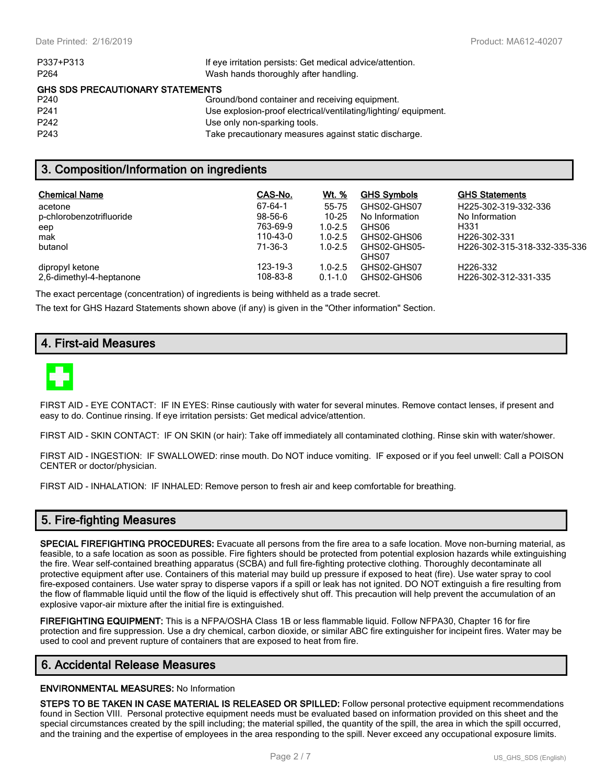| P337+P313                               | If eye irritation persists: Get medical advice/attention.      |  |  |  |  |
|-----------------------------------------|----------------------------------------------------------------|--|--|--|--|
| P <sub>264</sub>                        | Wash hands thoroughly after handling.                          |  |  |  |  |
| <b>GHS SDS PRECAUTIONARY STATEMENTS</b> |                                                                |  |  |  |  |
| P240                                    | Ground/bond container and receiving equipment.                 |  |  |  |  |
| P <sub>241</sub>                        | Use explosion-proof electrical/ventilating/lighting/equipment. |  |  |  |  |
| P <sub>242</sub>                        | Use only non-sparking tools.                                   |  |  |  |  |
| P <sub>243</sub>                        | Take precautionary measures against static discharge.          |  |  |  |  |

### **3. Composition/Information on ingredients**

| <b>Chemical Name</b>     | CAS-No.   | Wt. %       | <b>GHS Symbols</b> | <b>GHS Statements</b>        |
|--------------------------|-----------|-------------|--------------------|------------------------------|
| acetone                  | 67-64-1   | 55-75       | GHS02-GHS07        | H225-302-319-332-336         |
| p-chlorobenzotrifluoride | $98-56-6$ | $10 - 25$   | No Information     | No Information               |
| eep                      | 763-69-9  | $1.0 - 2.5$ | GHS06              | H331                         |
| mak                      | 110-43-0  | $1.0 - 2.5$ | GHS02-GHS06        | H <sub>226</sub> -302-331    |
| butanol                  | 71-36-3   | $1.0 - 2.5$ | GHS02-GHS05-       | H226-302-315-318-332-335-336 |
|                          |           |             | GHS07              |                              |
| dipropyl ketone          | 123-19-3  | $1.0 - 2.5$ | GHS02-GHS07        | H <sub>226</sub> -332        |
| 2.6-dimethyl-4-heptanone | 108-83-8  | $0.1 - 1.0$ | GHS02-GHS06        | H226-302-312-331-335         |

The exact percentage (concentration) of ingredients is being withheld as a trade secret.

The text for GHS Hazard Statements shown above (if any) is given in the "Other information" Section.

# **4. First-aid Measures**



FIRST AID - EYE CONTACT: IF IN EYES: Rinse cautiously with water for several minutes. Remove contact lenses, if present and easy to do. Continue rinsing. If eye irritation persists: Get medical advice/attention.

FIRST AID - SKIN CONTACT: IF ON SKIN (or hair): Take off immediately all contaminated clothing. Rinse skin with water/shower.

FIRST AID - INGESTION: IF SWALLOWED: rinse mouth. Do NOT induce vomiting. IF exposed or if you feel unwell: Call a POISON CENTER or doctor/physician.

FIRST AID - INHALATION: IF INHALED: Remove person to fresh air and keep comfortable for breathing.

### **5. Fire-fighting Measures**

**SPECIAL FIREFIGHTING PROCEDURES:** Evacuate all persons from the fire area to a safe location. Move non-burning material, as feasible, to a safe location as soon as possible. Fire fighters should be protected from potential explosion hazards while extinguishing the fire. Wear self-contained breathing apparatus (SCBA) and full fire-fighting protective clothing. Thoroughly decontaminate all protective equipment after use. Containers of this material may build up pressure if exposed to heat (fire). Use water spray to cool fire-exposed containers. Use water spray to disperse vapors if a spill or leak has not ignited. DO NOT extinguish a fire resulting from the flow of flammable liquid until the flow of the liquid is effectively shut off. This precaution will help prevent the accumulation of an explosive vapor-air mixture after the initial fire is extinguished.

**FIREFIGHTING EQUIPMENT:** This is a NFPA/OSHA Class 1B or less flammable liquid. Follow NFPA30, Chapter 16 for fire protection and fire suppression. Use a dry chemical, carbon dioxide, or similar ABC fire extinguisher for incipeint fires. Water may be used to cool and prevent rupture of containers that are exposed to heat from fire.

# **6. Accidental Release Measures**

#### **ENVIRONMENTAL MEASURES:** No Information

**STEPS TO BE TAKEN IN CASE MATERIAL IS RELEASED OR SPILLED:** Follow personal protective equipment recommendations found in Section VIII. Personal protective equipment needs must be evaluated based on information provided on this sheet and the special circumstances created by the spill including; the material spilled, the quantity of the spill, the area in which the spill occurred, and the training and the expertise of employees in the area responding to the spill. Never exceed any occupational exposure limits.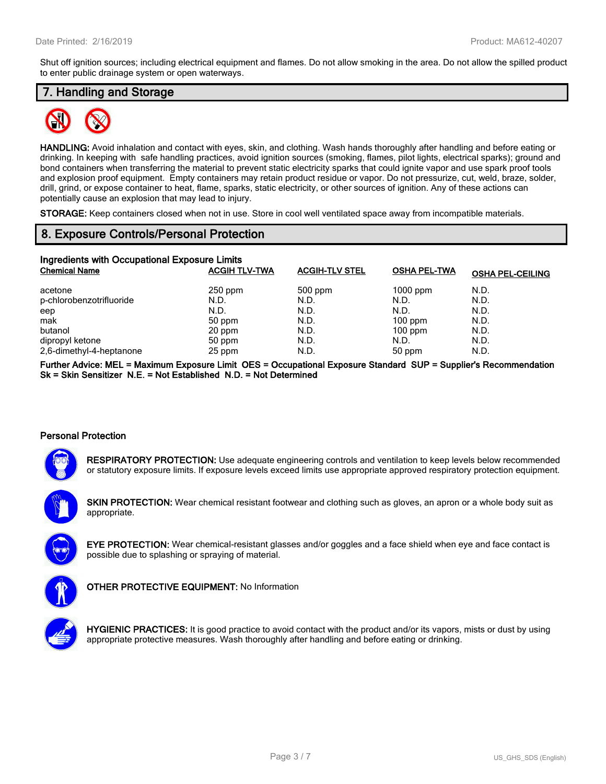Shut off ignition sources; including electrical equipment and flames. Do not allow smoking in the area. Do not allow the spilled product to enter public drainage system or open waterways.

# **7. Handling and Storage**



**HANDLING:** Avoid inhalation and contact with eyes, skin, and clothing. Wash hands thoroughly after handling and before eating or drinking. In keeping with safe handling practices, avoid ignition sources (smoking, flames, pilot lights, electrical sparks); ground and bond containers when transferring the material to prevent static electricity sparks that could ignite vapor and use spark proof tools and explosion proof equipment. Empty containers may retain product residue or vapor. Do not pressurize, cut, weld, braze, solder, drill, grind, or expose container to heat, flame, sparks, static electricity, or other sources of ignition. Any of these actions can potentially cause an explosion that may lead to injury.

**STORAGE:** Keep containers closed when not in use. Store in cool well ventilated space away from incompatible materials.

### **8. Exposure Controls/Personal Protection**

| Ingredients with Occupational Exposure Limits |                      |                       |                     |                         |  |  |  |
|-----------------------------------------------|----------------------|-----------------------|---------------------|-------------------------|--|--|--|
| <b>Chemical Name</b>                          | <b>ACGIH TLV-TWA</b> | <b>ACGIH-TLV STEL</b> | <b>OSHA PEL-TWA</b> | <b>OSHA PEL-CEILING</b> |  |  |  |
| acetone                                       | $250$ ppm            | $500$ ppm             | $1000$ ppm          | N.D.                    |  |  |  |
| p-chlorobenzotrifluoride                      | N.D.                 | N.D.                  | N.D.                | N.D.                    |  |  |  |
| eep                                           | N.D.                 | N.D.                  | N.D.                | N.D.                    |  |  |  |
| mak                                           | 50 ppm               | N.D.                  | $100$ ppm           | N.D.                    |  |  |  |
| butanol                                       | 20 ppm               | N.D.                  | $100$ ppm           | N.D.                    |  |  |  |
| dipropyl ketone                               | 50 ppm               | N.D.                  | N.D.                | N.D.                    |  |  |  |
| 2,6-dimethyl-4-heptanone                      | 25 ppm               | N.D.                  | 50 ppm              | N.D.                    |  |  |  |

**Further Advice: MEL = Maximum Exposure Limit OES = Occupational Exposure Standard SUP = Supplier's Recommendation Sk = Skin Sensitizer N.E. = Not Established N.D. = Not Determined**

### **Personal Protection**



**RESPIRATORY PROTECTION:** Use adequate engineering controls and ventilation to keep levels below recommended or statutory exposure limits. If exposure levels exceed limits use appropriate approved respiratory protection equipment.

**SKIN PROTECTION:** Wear chemical resistant footwear and clothing such as gloves, an apron or a whole body suit as appropriate.





**OTHER PROTECTIVE EQUIPMENT:** No Information

**HYGIENIC PRACTICES:** It is good practice to avoid contact with the product and/or its vapors, mists or dust by using appropriate protective measures. Wash thoroughly after handling and before eating or drinking.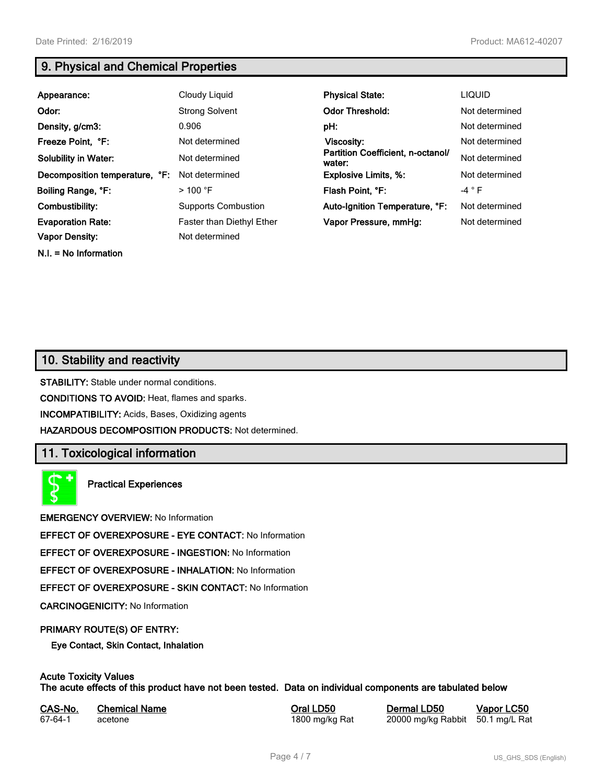**N.I. = No Information**

# **9. Physical and Chemical Properties**

| Appearance:                    | Cloudy Liquid              | <b>Physical State:</b>                      | <b>LIQUID</b>  |
|--------------------------------|----------------------------|---------------------------------------------|----------------|
| Odor:                          | <b>Strong Solvent</b>      | <b>Odor Threshold:</b>                      | Not determined |
| Density, g/cm3:                | 0.906                      | pH:                                         | Not determined |
| Freeze Point, °F:              | Not determined             | Viscosity:                                  | Not determined |
| <b>Solubility in Water:</b>    | Not determined             | Partition Coefficient, n-octanol/<br>water: | Not determined |
| Decomposition temperature, °F: | Not determined             | <b>Explosive Limits, %:</b>                 | Not determined |
| Boiling Range, °F:             | $>100$ °F                  | Flash Point, °F:                            | $-4$ $\circ$ F |
| Combustibility:                | <b>Supports Combustion</b> | Auto-Ignition Temperature, °F:              | Not determined |
| <b>Evaporation Rate:</b>       | Faster than Diethyl Ether  | Vapor Pressure, mmHg:                       | Not determined |
| <b>Vapor Density:</b>          | Not determined             |                                             |                |

# **10. Stability and reactivity**

**STABILITY:** Stable under normal conditions.

**CONDITIONS TO AVOID:** Heat, flames and sparks.

**INCOMPATIBILITY:** Acids, Bases, Oxidizing agents

**HAZARDOUS DECOMPOSITION PRODUCTS:** Not determined.

# **11. Toxicological information**

**Practical Experiences**

**EMERGENCY OVERVIEW:** No Information

**EFFECT OF OVEREXPOSURE - EYE CONTACT:** No Information

**EFFECT OF OVEREXPOSURE - INGESTION:** No Information

**EFFECT OF OVEREXPOSURE - INHALATION:** No Information

**EFFECT OF OVEREXPOSURE - SKIN CONTACT:** No Information

**CARCINOGENICITY:** No Information

### **PRIMARY ROUTE(S) OF ENTRY:**

**Eye Contact, Skin Contact, Inhalation**

# **Acute Toxicity Values**

**The acute effects of this product have not been tested. Data on individual components are tabulated below**

| CAS-No. | <b>Chemical Name</b> |
|---------|----------------------|
| 67-64-1 | acetone              |

**Casary Chemical Chemical LD50 Chemical LD50 Vapor LC50** 1800 mg/kg Rat 20000 mg/kg Rabbit 50.1 mg/L Rat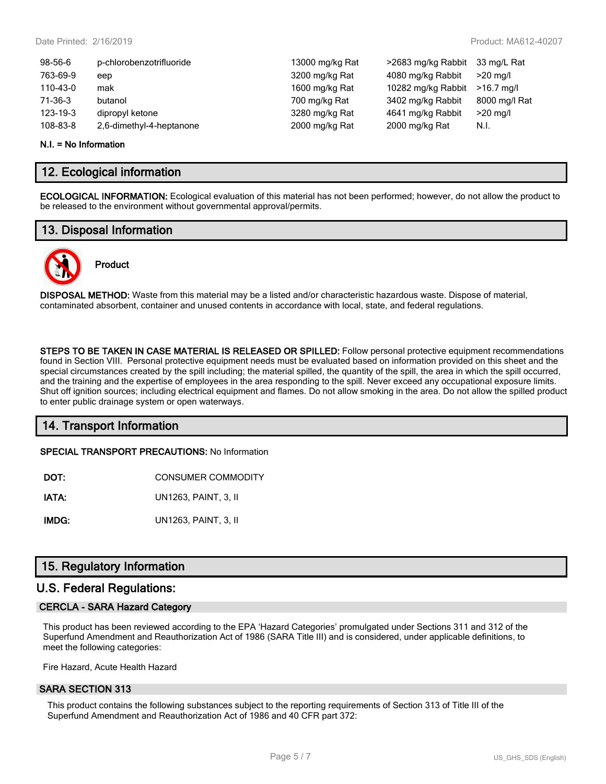| 98-56-6  | p-chlorobenzotrifluoride | 13000 mg/kg Rat | >2683 mg/kg Rabbit | 33 mg/L Rat   |
|----------|--------------------------|-----------------|--------------------|---------------|
| 763-69-9 | eep                      | 3200 mg/kg Rat  | 4080 mg/kg Rabbit  | $>20$ mg/l    |
| 110-43-0 | mak                      | 1600 mg/kg Rat  | 10282 mg/kg Rabbit | $>16.7$ ma/l  |
| 71-36-3  | butanol                  | 700 mg/kg Rat   | 3402 mg/kg Rabbit  | 8000 mg/l Rat |
| 123-19-3 | dipropyl ketone          | 3280 mg/kg Rat  | 4641 mg/kg Rabbit  | $>20$ mg/l    |
| 108-83-8 | 2,6-dimethyl-4-heptanone | 2000 mg/kg Rat  | 2000 mg/kg Rat     | N.I.          |
|          |                          |                 |                    |               |

#### **N.I. = No Information**

### **12. Ecological information**

**ECOLOGICAL INFORMATION:** Ecological evaluation of this material has not been performed; however, do not allow the product to be released to the environment without governmental approval/permits.

### **13. Disposal Information**



# **Product**

**DISPOSAL METHOD:** Waste from this material may be a listed and/or characteristic hazardous waste. Dispose of material, contaminated absorbent, container and unused contents in accordance with local, state, and federal regulations.

**STEPS TO BE TAKEN IN CASE MATERIAL IS RELEASED OR SPILLED:** Follow personal protective equipment recommendations found in Section VIII. Personal protective equipment needs must be evaluated based on information provided on this sheet and the special circumstances created by the spill including; the material spilled, the quantity of the spill, the area in which the spill occurred, and the training and the expertise of employees in the area responding to the spill. Never exceed any occupational exposure limits. Shut off ignition sources; including electrical equipment and flames. Do not allow smoking in the area. Do not allow the spilled product to enter public drainage system or open waterways.

# **14. Transport Information**

**SPECIAL TRANSPORT PRECAUTIONS:** No Information

| DOT: | <b>CONSUMER COMMODITY</b> |
|------|---------------------------|
|      |                           |

**IATA:** UN1263, PAINT, 3, II

**IMDG:** UN1263, PAINT, 3, II

# **15. Regulatory Information**

### **U.S. Federal Regulations:**

### **CERCLA - SARA Hazard Category**

This product has been reviewed according to the EPA 'Hazard Categories' promulgated under Sections 311 and 312 of the Superfund Amendment and Reauthorization Act of 1986 (SARA Title III) and is considered, under applicable definitions, to meet the following categories:

Fire Hazard, Acute Health Hazard

### **SARA SECTION 313**

This product contains the following substances subject to the reporting requirements of Section 313 of Title III of the Superfund Amendment and Reauthorization Act of 1986 and 40 CFR part 372: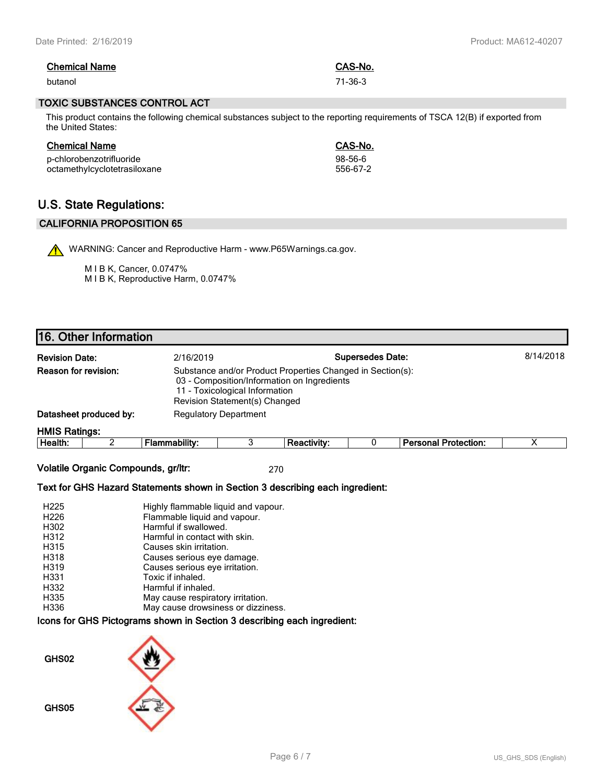| <b>Chemical Name</b> | CAS-No. |
|----------------------|---------|
| butanol              | 71-36-3 |

#### **TOXIC SUBSTANCES CONTROL ACT**

This product contains the following chemical substances subject to the reporting requirements of TSCA 12(B) if exported from the United States:

| <b>Chemical Name</b>         | CAS-No.   |
|------------------------------|-----------|
| p-chlorobenzotrifluoride     | $98-56-6$ |
| octamethylcyclotetrasiloxane | 556-67-2  |

# **U.S. State Regulations:**

### **CALIFORNIA PROPOSITION 65**

WARNING: Cancer and Reproductive Harm - www.P65Warnings.ca.gov.

M I B K, Cancer, 0.0747% M I B K, Reproductive Harm, 0.0747%

# **16. Other Information**

| <b>Supersedes Date:</b><br><b>Revision Date:</b><br>2/16/2019 |                        |                              |                                                                                                                                                                              |             |  |                             |  |
|---------------------------------------------------------------|------------------------|------------------------------|------------------------------------------------------------------------------------------------------------------------------------------------------------------------------|-------------|--|-----------------------------|--|
| <b>Reason for revision:</b>                                   |                        |                              | Substance and/or Product Properties Changed in Section(s):<br>03 - Composition/Information on Ingredients<br>11 - Toxicological Information<br>Revision Statement(s) Changed |             |  |                             |  |
|                                                               | Datasheet produced by: | <b>Regulatory Department</b> |                                                                                                                                                                              |             |  |                             |  |
| <b>HMIS Ratings:</b>                                          |                        |                              |                                                                                                                                                                              |             |  |                             |  |
| Health:                                                       |                        | Flammability:                |                                                                                                                                                                              | Reactivity: |  | <b>Personal Protection:</b> |  |

**Volatile Organic Compounds, gr/ltr:** 270

### **Text for GHS Hazard Statements shown in Section 3 describing each ingredient:**

| H <sub>225</sub> | Highly flammable liquid and vapour. |
|------------------|-------------------------------------|
| H <sub>226</sub> | Flammable liquid and vapour.        |
| H302             | Harmful if swallowed.               |
| H312             | Harmful in contact with skin.       |
| H315             | Causes skin irritation.             |
| H318             | Causes serious eye damage.          |
| H319             | Causes serious eye irritation.      |
| H331             | Toxic if inhaled.                   |
| H332             | Harmful if inhaled.                 |
| H335             | May cause respiratory irritation.   |
| H336             | May cause drowsiness or dizziness.  |

### **Icons for GHS Pictograms shown in Section 3 describing each ingredient:**